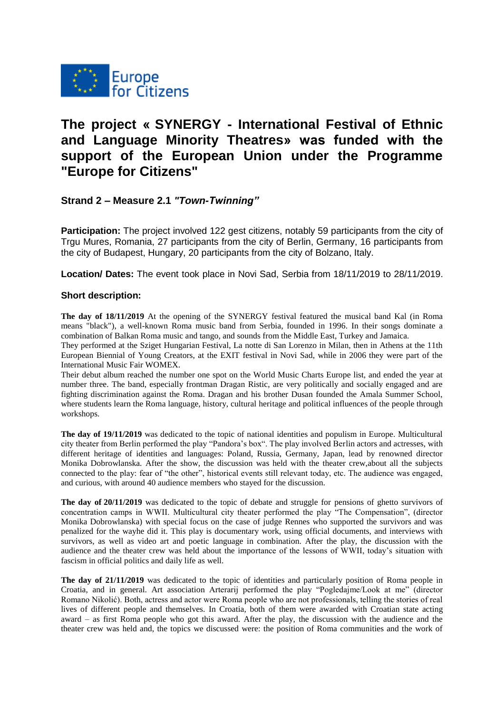

## **The project « SYNERGY - International Festival of Ethnic and Language Minority Theatres» was funded with the support of the European Union under the Programme "Europe for Citizens"**

## **Strand 2 – Measure 2.1** *"Town-Twinning"*

**Participation:** The project involved 122 gest citizens, notably 59 participants from the city of Trgu Mures, Romania, 27 participants from the city of Berlin, Germany, 16 participants from the city of Budapest, Hungary, 20 participants from the city of Bolzano, Italy.

**Location/ Dates:** The event took place in Novi Sad, Serbia from 18/11/2019 to 28/11/2019.

## **Short description:**

**The day of 18/11/2019** At the opening of the SYNERGY festival featured the musical band Kal (in Roma means "black"), a well-known Roma music band from Serbia, founded in 1996. In their songs dominate a combination of Balkan Roma music and tango, and sounds from the Middle East, Turkey and Jamaica.

They performed at the Sziget Hungarian Festival, La notte di San Lorenzo in Milan, then in Athens at the 11th European Biennial of Young Creators, at the EXIT festival in Novi Sad, while in 2006 they were part of the International Music Fair WOMEX.

Their debut album reached the number one spot on the World Music Charts Europe list, and ended the year at number three. The band, especially frontman Dragan Ristic, are very politically and socially engaged and are fighting discrimination against the Roma. Dragan and his brother Dusan founded the Amala Summer School, where students learn the Roma language, history, cultural heritage and political influences of the people through workshops.

**The day of 19/11/2019** was dedicated to the topic of national identities and populism in Europe. Multicultural city theater from Berlin performed the play "Pandora's box". The play involved Berlin actors and actresses, with different heritage of identities and languages: Poland, Russia, Germany, Japan, lead by renowned director Monika Dobrowlanska. After the show, the discussion was held with the theater crew,about all the subjects connected to the play: fear of "the other", historical events still relevant today, etc. The audience was engaged, and curious, with around 40 audience members who stayed for the discussion.

**The day of 20/11/2019** was dedicated to the topic of debate and struggle for pensions of ghetto survivors of concentration camps in WWII. Multicultural city theater performed the play "The Compensation", (director Monika Dobrowlanska) with special focus on the case of judge Rennes who supported the survivors and was penalized for the wayhe did it. This play is documentary work, using official documents, and interviews with survivors, as well as video art and poetic language in combination. After the play, the discussion with the audience and the theater crew was held about the importance of the lessons of WWII, today's situation with fascism in official politics and daily life as well.

**The day of 21/11/2019** was dedicated to the topic of identities and particularly position of Roma people in Croatia, and in general. Art association Arterarij performed the play "Pogledajme/Look at me" (director Romano Nikolić). Both, actress and actor were Roma people who are not professionals, telling the stories of real lives of different people and themselves. In Croatia, both of them were awarded with Croatian state acting award – as first Roma people who got this award. After the play, the discussion with the audience and the theater crew was held and, the topics we discussed were: the position of Roma communities and the work of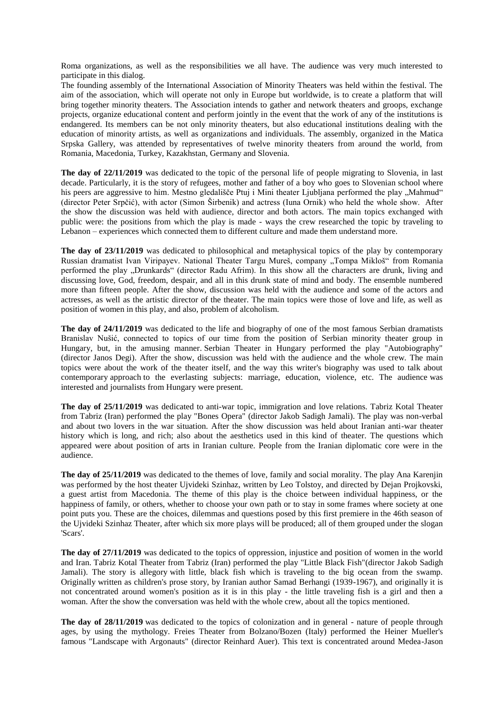Roma organizations, as well as the responsibilities we all have. The audience was very much interested to participate in this dialog.

The founding assembly of the International Association of Minority Theaters was held within the festival. The aim of the association, which will operate not only in Europe but worldwide, is to create a platform that will bring together minority theaters. The Association intends to gather and network theaters and groops, exchange projects, organize educational content and perform jointly in the event that the work of any of the institutions is endangered. Its members can be not only minority theaters, but also educational institutions dealing with the education of minority artists, as well as organizations and individuals. The assembly, organized in the Matica Srpska Gallery, was attended by representatives of twelve minority theaters from around the world, from Romania, Macedonia, Turkey, Kazakhstan, Germany and Slovenia.

**The day of 22/11/2019** was dedicated to the topic of the personal life of people migrating to Slovenia, in last decade. Particularly, it is the story of refugees, mother and father of a boy who goes to Slovenian school where his peers are aggressive to him. Mestno gledališče Ptuj i Mini theater Ljubljana performed the play "Mahmud" (director Peter Srpčić), with actor (Simon Širbenik) and actress (Iuna Ornik) who held the whole show. After the show the discussion was held with audience, director and both actors. The main topics exchanged with public were: the positions from which the play is made - ways the crew researched the topic by traveling to Lebanon – experiences which connected them to different culture and made them understand more.

**The day of 23/11/2019** was dedicated to philosophical and metaphysical topics of the play by contemporary Russian dramatist Ivan Viripayev. National Theater Targu Mureš, company "Tompa Mikloš" from Romania performed the play "Drunkards" (director Radu Afrim). In this show all the characters are drunk, living and discussing love, God, freedom, despair, and all in this drunk state of mind and body. The ensemble numbered more than fifteen people. After the show, discussion was held with the audience and some of the actors and actresses, as well as the artistic director of the theater. The main topics were those of love and life, as well as position of women in this play, and also, problem of alcoholism.

**The day of 24/11/2019** was dedicated to the life and biography of one of the most famous Serbian dramatists Branislav Nušić, connected to topics of our time from the position of Serbian minority theater group in Hungary, but, in the amusing manner. Serbian Theater in Hungary performed the play "Autobiography" (director Janos Degi). After the show, discussion was held with the audience and the whole crew. The main topics were about the work of the theater itself, and the way this writer's biography was used to talk about contemporary approach to the everlasting subjects: marriage, education, violence, etc. The audience was interested and journalists from Hungary were present.

**The day of 25/11/2019** was dedicated to anti-war topic, immigration and love relations. Tabriz Kotal Theater from Tabriz (Iran) performed the play "Bones Opera" (director Jakob Sadigh Jamali). The play was non-verbal and about two lovers in the war situation. After the show discussion was held about Iranian anti-war theater history which is long, and rich; also about the aesthetics used in this kind of theater. The questions which appeared were about position of arts in Iranian culture. People from the Iranian diplomatic core were in the audience.

**The day of 25/11/2019** was dedicated to the themes of love, family and social morality. The play Ana Karenjin was performed by the host theater Ujvideki Szinhaz, written by Leo Tolstoy, and directed by Dejan Projkovski, a guest artist from Macedonia. The theme of this play is the choice between individual happiness, or the happiness of family, or others, whether to choose your own path or to stay in some frames where society at one point puts you. These are the choices, dilemmas and questions posed by this first premiere in the 46th season of the Ujvideki Szinhaz Theater, after which six more plays will be produced; all of them grouped under the slogan 'Scars'.

**The day of 27/11/2019** was dedicated to the topics of oppression, injustice and position of women in the world and Iran. Tabriz Kotal Theater from Tabriz (Iran) performed the play "Little Black Fish"(director Jakob Sadigh Jamali). The story is allegory with little, black fish which is traveling to the big ocean from the swamp. Originally written as children's prose story, by Iranian author Samad Berhangi (1939-1967), and originally it is not concentrated around women's position as it is in this play - the little traveling fish is a girl and then a woman. After the show the conversation was held with the whole crew, about all the topics mentioned.

**The day of 28/11/2019** was dedicated to the topics of colonization and in general - nature of people through ages, by using the mythology. Freies Theater from Bolzano/Bozen (Italy) performed the Heiner Mueller's famous "Landscape with Argonauts" (director Reinhard Auer). This text is concentrated around Medea-Jason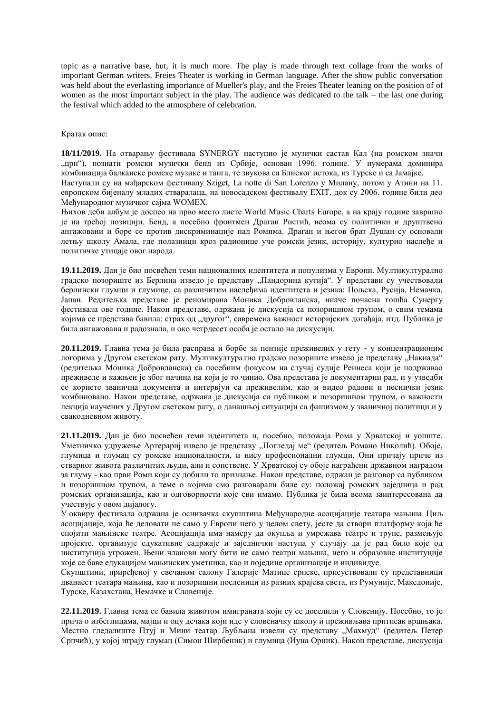topic as a narrative base, but, it is much more. The play is made through text collage from the works of important German writers. Freies Theater is working in German language. After the show public conversation was held about the everlasting importance of Mueller's play, and the Freies Theater leaning on the position of of women as the most important subject in the play. The audience was dedicated to the talk – the last one during the festival which added to the atmosphere of celebration.

## Кратак опис:

**18/11/2019.** На отварању фестивала SYNERGY наступио је музички састав Кал (на ромском значи "црн"), познати ромски музички бенд из Србије, основан 1996. године. У нумерама доминира комбинација балканске ромске музике и танга, те звукова са Блиског истока, из Турске и са Јамајке. Наступали су на мађарском фестивалу Sziget, La notte di San Lorenzo у Милану, потом у Атини на 11. европском бијеналу младих стваралаца, на новосадском фестивалу EXIT, док су 2006. године били део Међународног музичког сајма WОМЕX.

Њихов деби албум је доспео на прво место листе World Music Charts Europe, а на крају године завршио је на трећој позицији. Бенд, а посебно фронтмен Драган Ристић, веома су политички и друштвено ангажовани и боре се против дискриминације над Ромима. Драган и његов брат Душан су основали летњу школу Амала, где полазници кроз радионице уче ромски језик, историју, културно наслеђе и политичке утицаје овог народа.

**19.11.2019.** Дан је био посвећен теми националних идентитета и популизма у Европи. Мултикултурално градско позориште из Берлина извело је представу "Пандорина кутија". У представи су учествовали берлински глумци и глумице, са различитим наслеђима идентитета и језика: Пољска, Русија, Немачка, Јапан. Редитељка представе је реномирана Моника Добровланска, иначе почасна гошћа Сyнергy фестивала ове године. Након представе, одржана је дискусија са позоришном трупом, о свим темама којима се представа бавила: страх од "другог", савремена важност историјских догађаја, итд. Публика је била ангажована и радознала, и око четрдесет особа је остало на дискусији.

**20.11.2019.** Главна тема је била расправа и борбе за пензије преживелих у гету - у концентрационим логорима у Другом светском рату. Мултикултурално градско позориште извело је представу "Накнада" (редитељка Моника Добровланска) са посебним фокусом на случај судије Реннеса који је подржавао преживеле и кажњен је због начина на који је то чинио. Ова представа је документарни рад, и у узведби се користе званична документа и интервјуи са преживелим, као и видео радови и песнички језик комбиновано. Након представе, одржана је дискусија са публиком и позоришном трупом, о важности лекција научених у Другом светском рату, о данашњој ситуацији са фашизмом у званичној политици и у свакодневном животу.

**21.11.2019.** Дан је био посвећен теми идентитета и, посебно, положаја Рома у Хрватској и уопште. Уметничко удружење Артерариј извело је представу "Погледај ме" (редитељ Романо Николић). Обоје, глумица и глумац су ромске националности, и нису професионални глумци. Они причају приче из стварног живота различитих људи, али и сопствене. У Хрватској су обоје награђени државном наградом за глуму - као први Роми који су добили то признање. Након представе, одржан је разговор са публиком и позоришном трупом, а теме о којима смо разговарали биле су: положај ромских заједница и рад ромских организација, као и одговорности које сви имамо. Публика је била веома заинтересована да учествује у овом дијалогу.

У оквиру фестивала одржана је оснивачка скупштина Међународне асоцијације театара мањина. Циљ асоцијације, која ће деловати не само у Европи него у целом свету, јесте да створи платформу која ће спојити мањинске театре. Асоцијација има намеру да окупља и умрежава театре и трупе, размењује пројекте, организује едукативне садржаје и заједнички наступа у случају да је рад било које од институција угрожен. Њени чланови могу бити не само театри мањина, него и образовне институције које се баве едукацијом мањинских уметника, као и поједине организације и индивидуе.

Скупштини, приређеној у свечаном салону Галерије Матице српске, присуствовали су представници дванаест театара мањина, као и позоришни посленици из разних крајева света, из Румуније, Македоније, Турске, Казахстана, Немачке и Словеније.

**22.11.2019.** Главна тема се бавила животом имиграната који су се доселили у Словенију. Посебно, то је прича о избеглицама, мајци и оцу дечака који иде у словеначку школу и преживљава притисак вршњака. Местно гледалиште Птуј и Мини театар Љубљана извели су представу "Махмуд" (редитељ Петер Српчић), у којој играју глумац (Симон Ширбеник) и глумица (Иуна Орник). Након представе, дискусија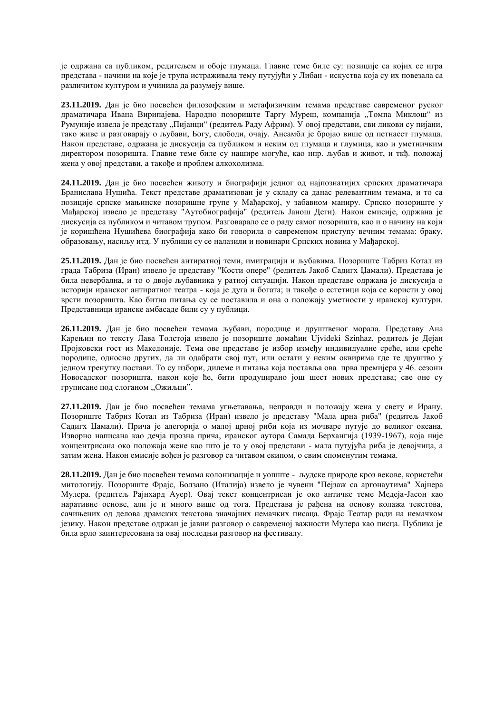је одржана са публиком, редитељем и обоје глумаца. Главне теме биле су: позиције са којих се игра представа - начини на које је трупа истраживала тему путујући у Либан - искуства која су их повезала са различитом културом и учинила да разумеју више.

**23.11.2019.** Дан је био посвећен филозофским и метафизичким темама представе савременог руског драматичара Ивана Вирипајева. Народно позориште Таргу Муреш, компанија "Томпа Миклош" из Румуније извела је представу "Пијанци" (редитељ Раду Африм). У овој представи, сви ликови су пијани, тако живе и разговарају о љубави, Богу, слободи, очају. Ансамбл је бројао више од петнаест глумаца. Након представе, одржана је дискусија са публиком и неким од глумаца и глумица, као и уметничким директором позоришта. Главне теме биле су нашире могуће, као нпр. љубав и живот, и ткђ. положај жена у овој представи, а такође и проблем алкохолизма.

**24.11.2019.** Дан је био посвећен животу и биографији једног од најпознатијих српских драматичара Бранислава Нушића. Текст представе драматизован је у складу са данас релевантним темама, и то са позиције српске мањинске позоришне групе у Мађарској, у забавном маниру. Српско позориште у Мађарској извело је представу "Аутобиографија" (редитељ Јанош Деги). Након емисије, одржана је дискусија са публиком и читавом трупом. Разговарало се о раду самог позоришта, као и о начину на који је коришћена Нушићева биографија како би говорила о савременом приступу вечним темама: браку, образовању, насиљу итд. У публици су се налазили и новинари Српских новина у Мађарској.

**25.11.2019.** Дан је био посвећен антиратној теми, имиграцији и љубавима. Позориште Табриз Котал из града Табриза (Иран) извело је представу "Кости опере" (редитељ Јакоб Садигх Џамали). Представа је била невербална, и то о двоје љубавника у ратној ситуацији. Након представе одржана је дискусија о историји иранског антиратног театра - која је дуга и богата; и такође о естетици која се користи у овој врсти позоришта. Као битна питања су се поставила и она о положају уметности у иранској култури. Представници иранске амбасаде били су у публици.

**26.11.2019.** Дан је био посвећен темaма љубави, породице и друштвеног морала. Представу Ана Карењин по тексту Лава Толстоја извело је позориште домаћин Ujvideki Szinhaz, редитељ је Дејан Пројковски гост из Македоније. Тема ове представе је избор између индивидуалне среће, или среће породице, односно других, да ли одабрати свој пут, или остати у неким оквирима где те друштво у једном тренутку постави. То су избори, дилеме и питања која поставља ова прва премијера у 46. сезони Новосадског позоришта, након које ће, бити продуцирано још шест нових представа; све оне су груписане под слоганом ,,Ожиљци".

**27.11.2019.** Дан је био посвећен темама угњетавања, неправди и положају жена у свету и Ирану. Позориште Табриз Котал из Табриза (Иран) извело је представу "Мала црна риба" (редитељ Јакоб Садигх Џамали). Прича је алегорија о малој црној риби која из мочваре путује до великог океана. Изворно написана као дечја прозна прича, иранског аутора Самада Берхангија (1939-1967), која није концентрисана око положаја жене као што је то у овој представи - мала путујућа риба је девојчица, а затим жена. Након емисије вођен је разговор са читавом екипом, о свим споменутим темама.

**28.11.2019.** Дан је био посвећен темама колонизације и уопште - људске природе кроз векове, користећи митологију. Позориште Фрајс, Болзано (Италија) извело је чувени "Пејзаж са аргонаутима" Хајнера Мулера. (редитељ Рајнхард Ауер). Овај текст концентрисан је око античке теме Медеја-Јасон као наративне основе, али је и много више од тога. Представа је рађена на основу колажа текстова, сачињених од делова драмских текстова значајних немачких писаца. Фрајс Театар ради на немачком језику. Након представе одржан је јавни разговор о савременој важности Мулера као писца. Публика је била врло заинтересована за овај последњи разговор на фестивалу.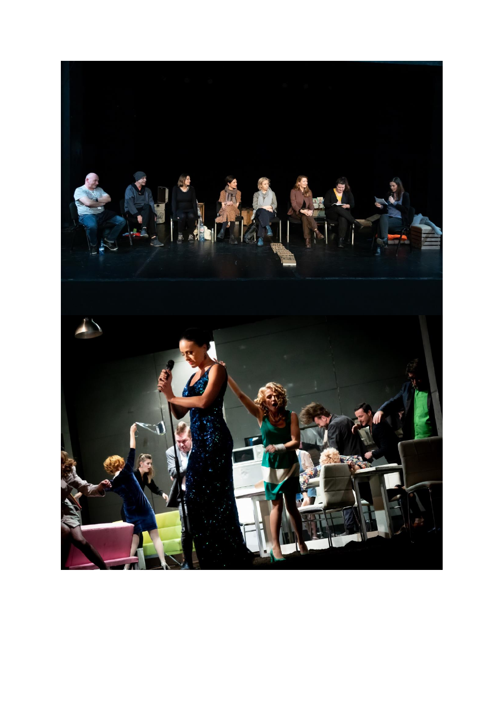